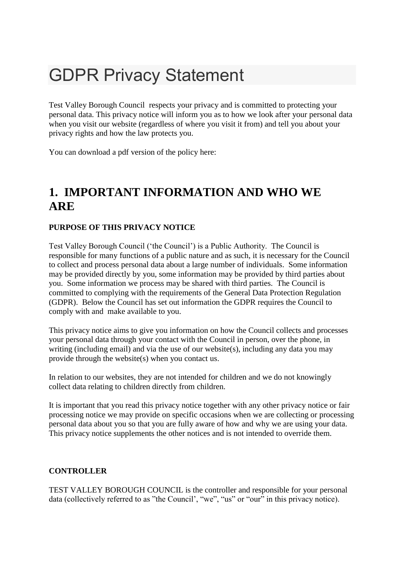# GDPR Privacy Statement

Test Valley Borough Council respects your privacy and is committed to protecting your personal data. This privacy notice will inform you as to how we look after your personal data when you visit our website (regardless of where you visit it from) and tell you about your privacy rights and how the law protects you.

You can download a pdf version of the policy here:

### **1. IMPORTANT INFORMATION AND WHO WE ARE**

#### **PURPOSE OF THIS PRIVACY NOTICE**

Test Valley Borough Council ("the Council") is a Public Authority. The Council is responsible for many functions of a public nature and as such, it is necessary for the Council to collect and process personal data about a large number of individuals. Some information may be provided directly by you, some information may be provided by third parties about you. Some information we process may be shared with third parties. The Council is committed to complying with the requirements of the General Data Protection Regulation (GDPR). Below the Council has set out information the GDPR requires the Council to comply with and make available to you.

This privacy notice aims to give you information on how the Council collects and processes your personal data through your contact with the Council in person, over the phone, in writing (including email) and via the use of our website(s), including any data you may provide through the website(s) when you contact us.

In relation to our websites, they are not intended for children and we do not knowingly collect data relating to children directly from children.

It is important that you read this privacy notice together with any other privacy notice or fair processing notice we may provide on specific occasions when we are collecting or processing personal data about you so that you are fully aware of how and why we are using your data. This privacy notice supplements the other notices and is not intended to override them.

#### **CONTROLLER**

TEST VALLEY BOROUGH COUNCIL is the controller and responsible for your personal data (collectively referred to as "the Council", "we", "us" or "our" in this privacy notice).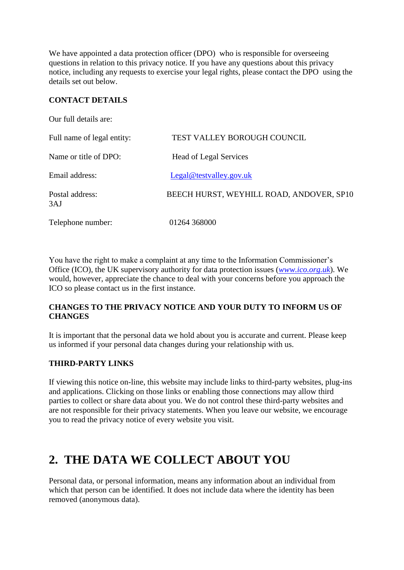We have appointed a data protection officer (DPO) who is responsible for overseeing questions in relation to this privacy notice. If you have any questions about this privacy notice, including any requests to exercise your legal rights, please contact the DPO using the details set out below.

#### **CONTACT DETAILS**

| Our full details are:      |                                          |
|----------------------------|------------------------------------------|
| Full name of legal entity: | TEST VALLEY BOROUGH COUNCIL              |
| Name or title of DPO:      | <b>Head of Legal Services</b>            |
| Email address:             | Legal@testvalley.gov.uk                  |
| Postal address:<br>3AJ     | BEECH HURST, WEYHILL ROAD, ANDOVER, SP10 |
| Telephone number:          | 01264 368000                             |

You have the right to make a complaint at any time to the Information Commissioner"s Office (ICO), the UK supervisory authority for data protection issues (*[www.ico.org.uk](http://www.ico.org.uk/)*). We would, however, appreciate the chance to deal with your concerns before you approach the ICO so please contact us in the first instance.

#### **CHANGES TO THE PRIVACY NOTICE AND YOUR DUTY TO INFORM US OF CHANGES**

It is important that the personal data we hold about you is accurate and current. Please keep us informed if your personal data changes during your relationship with us.

#### **THIRD-PARTY LINKS**

If viewing this notice on-line, this website may include links to third-party websites, plug-ins and applications. Clicking on those links or enabling those connections may allow third parties to collect or share data about you. We do not control these third-party websites and are not responsible for their privacy statements. When you leave our website, we encourage you to read the privacy notice of every website you visit.

### **2. THE DATA WE COLLECT ABOUT YOU**

Personal data, or personal information, means any information about an individual from which that person can be identified. It does not include data where the identity has been removed (anonymous data).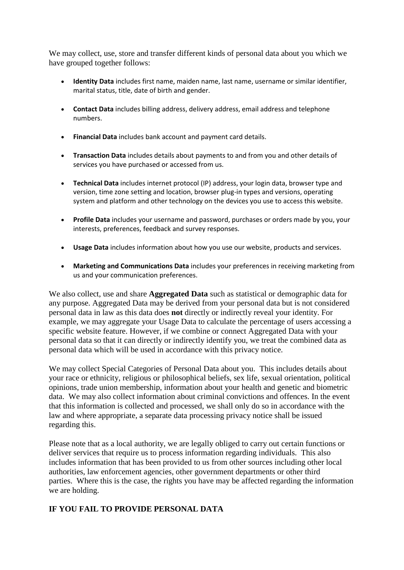We may collect, use, store and transfer different kinds of personal data about you which we have grouped together follows:

- **Identity Data** includes first name, maiden name, last name, username or similar identifier, marital status, title, date of birth and gender.
- **Contact Data** includes billing address, delivery address, email address and telephone numbers.
- **Financial Data** includes bank account and payment card details.
- **Transaction Data** includes details about payments to and from you and other details of services you have purchased or accessed from us.
- **Technical Data** includes internet protocol (IP) address, your login data, browser type and version, time zone setting and location, browser plug-in types and versions, operating system and platform and other technology on the devices you use to access this website.
- **Profile Data** includes your username and password, purchases or orders made by you, your interests, preferences, feedback and survey responses.
- **Usage Data** includes information about how you use our website, products and services.
- **Marketing and Communications Data** includes your preferences in receiving marketing from us and your communication preferences.

We also collect, use and share **Aggregated Data** such as statistical or demographic data for any purpose. Aggregated Data may be derived from your personal data but is not considered personal data in law as this data does **not** directly or indirectly reveal your identity. For example, we may aggregate your Usage Data to calculate the percentage of users accessing a specific website feature. However, if we combine or connect Aggregated Data with your personal data so that it can directly or indirectly identify you, we treat the combined data as personal data which will be used in accordance with this privacy notice.

We may collect Special Categories of Personal Data about you. This includes details about your race or ethnicity, religious or philosophical beliefs, sex life, sexual orientation, political opinions, trade union membership, information about your health and genetic and biometric data. We may also collect information about criminal convictions and offences. In the event that this information is collected and processed, we shall only do so in accordance with the law and where appropriate, a separate data processing privacy notice shall be issued regarding this.

Please note that as a local authority, we are legally obliged to carry out certain functions or deliver services that require us to process information regarding individuals. This also includes information that has been provided to us from other sources including other local authorities, law enforcement agencies, other government departments or other third parties. Where this is the case, the rights you have may be affected regarding the information we are holding.

#### **IF YOU FAIL TO PROVIDE PERSONAL DATA**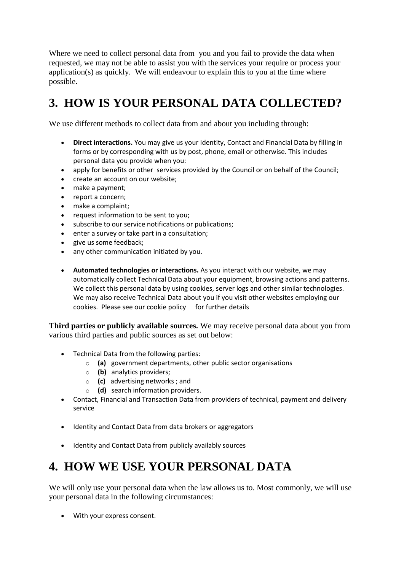Where we need to collect personal data from you and you fail to provide the data when requested, we may not be able to assist you with the services your require or process your application(s) as quickly. We will endeavour to explain this to you at the time where possible.

# **3. HOW IS YOUR PERSONAL DATA COLLECTED?**

We use different methods to collect data from and about you including through:

- **Direct interactions.** You may give us your Identity, Contact and Financial Data by filling in forms or by corresponding with us by post, phone, email or otherwise. This includes personal data you provide when you:
- apply for benefits or other services provided by the Council or on behalf of the Council;
- create an account on our website;
- make a payment;
- report a concern;
- make a complaint;
- request information to be sent to you;
- subscribe to our service notifications or publications;
- enter a survey or take part in a consultation;
- give us some feedback:
- any other communication initiated by you.
- **Automated technologies or interactions.** As you interact with our website, we may automatically collect Technical Data about your equipment, browsing actions and patterns. We collect this personal data by using cookies, server logs and other similar technologies. We may also receive Technical Data about you if you visit other websites employing our cookies. Please see our cookie policy for further details

**Third parties or publicly available sources.** We may receive personal data about you from various third parties and public sources as set out below:

- Technical Data from the following parties:
	- o **(a)** government departments, other public sector organisations
	- o **(b)** analytics providers;
	- o **(c)** advertising networks ; and
	- o **(d)** search information providers.
- Contact, Financial and Transaction Data from providers of technical, payment and delivery service
- Identity and Contact Data from data brokers or aggregators
- Identity and Contact Data from publicly availably sources

## **4. HOW WE USE YOUR PERSONAL DATA**

We will only use your personal data when the law allows us to. Most commonly, we will use your personal data in the following circumstances:

With your express consent.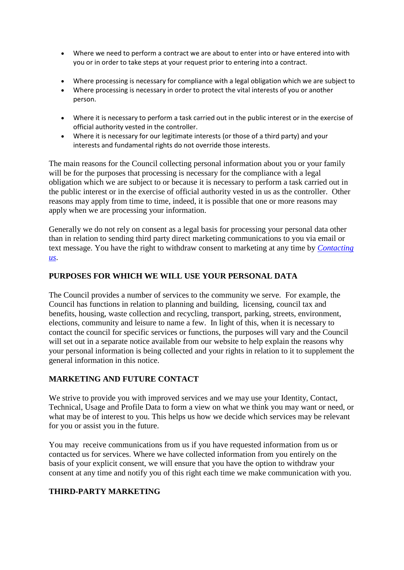- Where we need to perform a contract we are about to enter into or have entered into with you or in order to take steps at your request prior to entering into a contract.
- Where processing is necessary for compliance with a legal obligation which we are subject to
- Where processing is necessary in order to protect the vital interests of you or another person.
- Where it is necessary to perform a task carried out in the public interest or in the exercise of official authority vested in the controller.
- Where it is necessary for our legitimate interests (or those of a third party) and your interests and fundamental rights do not override those interests.

The main reasons for the Council collecting personal information about you or your family will be for the purposes that processing is necessary for the compliance with a legal obligation which we are subject to or because it is necessary to perform a task carried out in the public interest or in the exercise of official authority vested in us as the controller. Other reasons may apply from time to time, indeed, it is possible that one or more reasons may apply when we are processing your information.

Generally we do not rely on consent as a legal basis for processing your personal data other than in relation to sending third party direct marketing communications to you via email or text message. You have the right to withdraw consent to marketing at any time by *Contacting us*.

#### **PURPOSES FOR WHICH WE WILL USE YOUR PERSONAL DATA**

The Council provides a number of services to the community we serve. For example, the Council has functions in relation to planning and building, licensing, council tax and benefits, housing, waste collection and recycling, transport, parking, streets, environment, elections, community and leisure to name a few. In light of this, when it is necessary to contact the council for specific services or functions, the purposes will vary and the Council will set out in a separate notice available from our website to help explain the reasons why your personal information is being collected and your rights in relation to it to supplement the general information in this notice.

#### **MARKETING AND FUTURE CONTACT**

We strive to provide you with improved services and we may use your Identity, Contact, Technical, Usage and Profile Data to form a view on what we think you may want or need, or what may be of interest to you. This helps us how we decide which services may be relevant for you or assist you in the future.

You may receive communications from us if you have requested information from us or contacted us for services. Where we have collected information from you entirely on the basis of your explicit consent, we will ensure that you have the option to withdraw your consent at any time and notify you of this right each time we make communication with you.

#### **THIRD-PARTY MARKETING**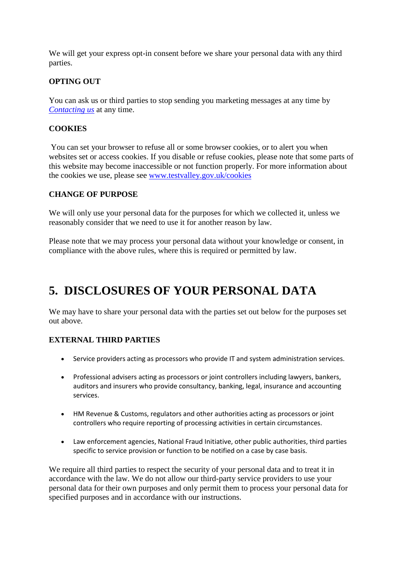We will get your express opt-in consent before we share your personal data with any third parties.

#### **OPTING OUT**

You can ask us or third parties to stop sending you marketing messages at any time by *Contacting us* at any time.

#### **COOKIES**

You can set your browser to refuse all or some browser cookies, or to alert you when websites set or access cookies. If you disable or refuse cookies, please note that some parts of this website may become inaccessible or not function properly. For more information about the cookies we use, please see [www.testvalley.gov.uk/cookies](http://www.testvalley.gov.uk/cookies)

#### **CHANGE OF PURPOSE**

We will only use your personal data for the purposes for which we collected it, unless we reasonably consider that we need to use it for another reason by law.

Please note that we may process your personal data without your knowledge or consent, in compliance with the above rules, where this is required or permitted by law.

### **5. DISCLOSURES OF YOUR PERSONAL DATA**

We may have to share your personal data with the parties set out below for the purposes set out above.

#### **EXTERNAL THIRD PARTIES**

- Service providers acting as processors who provide IT and system administration services.
- Professional advisers acting as processors or joint controllers including lawyers, bankers, auditors and insurers who provide consultancy, banking, legal, insurance and accounting services.
- HM Revenue & Customs, regulators and other authorities acting as processors or joint controllers who require reporting of processing activities in certain circumstances.
- Law enforcement agencies, National Fraud Initiative, other public authorities, third parties specific to service provision or function to be notified on a case by case basis.

We require all third parties to respect the security of your personal data and to treat it in accordance with the law. We do not allow our third-party service providers to use your personal data for their own purposes and only permit them to process your personal data for specified purposes and in accordance with our instructions.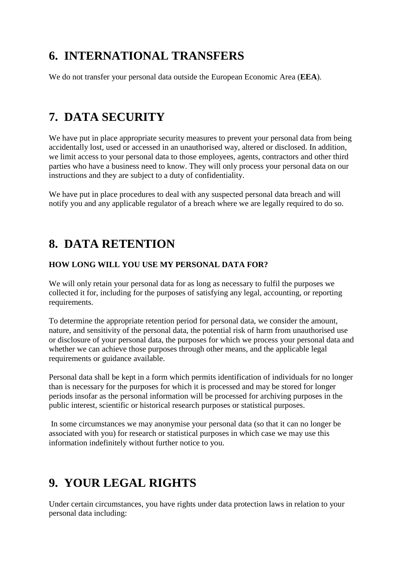# **6. INTERNATIONAL TRANSFERS**

We do not transfer your personal data outside the European Economic Area (**EEA**).

# **7. DATA SECURITY**

We have put in place appropriate security measures to prevent your personal data from being accidentally lost, used or accessed in an unauthorised way, altered or disclosed. In addition, we limit access to your personal data to those employees, agents, contractors and other third parties who have a business need to know. They will only process your personal data on our instructions and they are subject to a duty of confidentiality.

We have put in place procedures to deal with any suspected personal data breach and will notify you and any applicable regulator of a breach where we are legally required to do so.

## **8. DATA RETENTION**

#### **HOW LONG WILL YOU USE MY PERSONAL DATA FOR?**

We will only retain your personal data for as long as necessary to fulfil the purposes we collected it for, including for the purposes of satisfying any legal, accounting, or reporting requirements.

To determine the appropriate retention period for personal data, we consider the amount, nature, and sensitivity of the personal data, the potential risk of harm from unauthorised use or disclosure of your personal data, the purposes for which we process your personal data and whether we can achieve those purposes through other means, and the applicable legal requirements or guidance available.

Personal data shall be kept in a form which permits identification of individuals for no longer than is necessary for the purposes for which it is processed and may be stored for longer periods insofar as the personal information will be processed for archiving purposes in the public interest, scientific or historical research purposes or statistical purposes.

In some circumstances we may anonymise your personal data (so that it can no longer be associated with you) for research or statistical purposes in which case we may use this information indefinitely without further notice to you.

# **9. YOUR LEGAL RIGHTS**

Under certain circumstances, you have rights under data protection laws in relation to your personal data including: